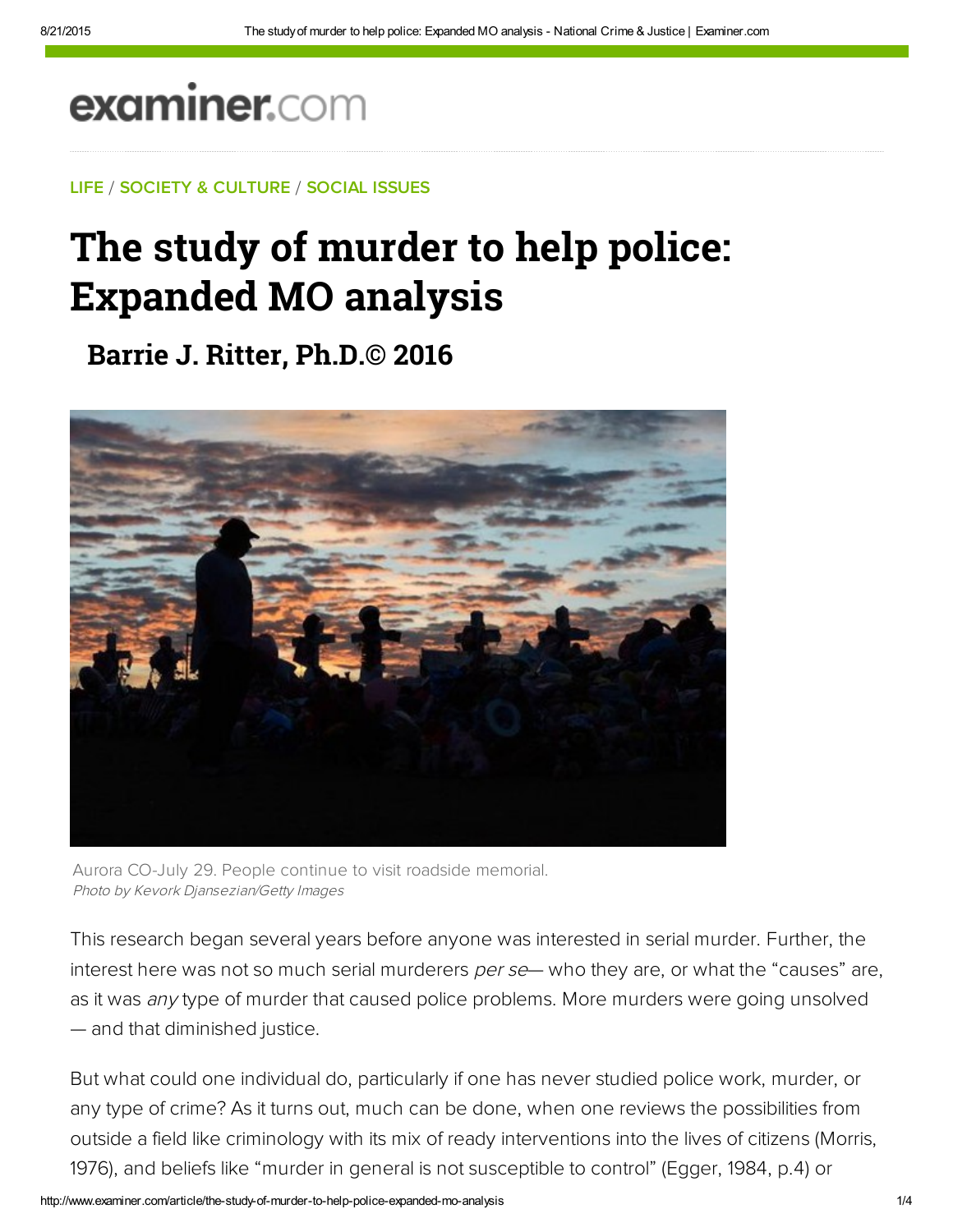# examiner.com

### LIFE / SOCIETY & CULTURE / SOCIAL ISSUES

## The study of murder to help police: Expanded MO analysis

**Barrie J. Ritter, Ph.D.© 2016**



Aurora CO-July 29. People continue to visit roadside memorial. Photo by Kevork Djansezian/Getty Images

This research began several years before anyone was interested in serial murder. Further, the interest here was not so much serial murderers *per se*— who they are, or what the "causes" are, as it was any type of murder that caused police problems. More murders were going unsolved — and that diminished justice.

But what could one individual do, particularly if one has never studied police work, murder, or any type of crime? As it turns out, much can be done, when one reviews the possibilities from outside a field like criminology with its mix of ready interventions into the lives of citizens (Morris, 1976), and beliefs like "murder in general is not susceptible to control" (Egger, 1984, p.4) or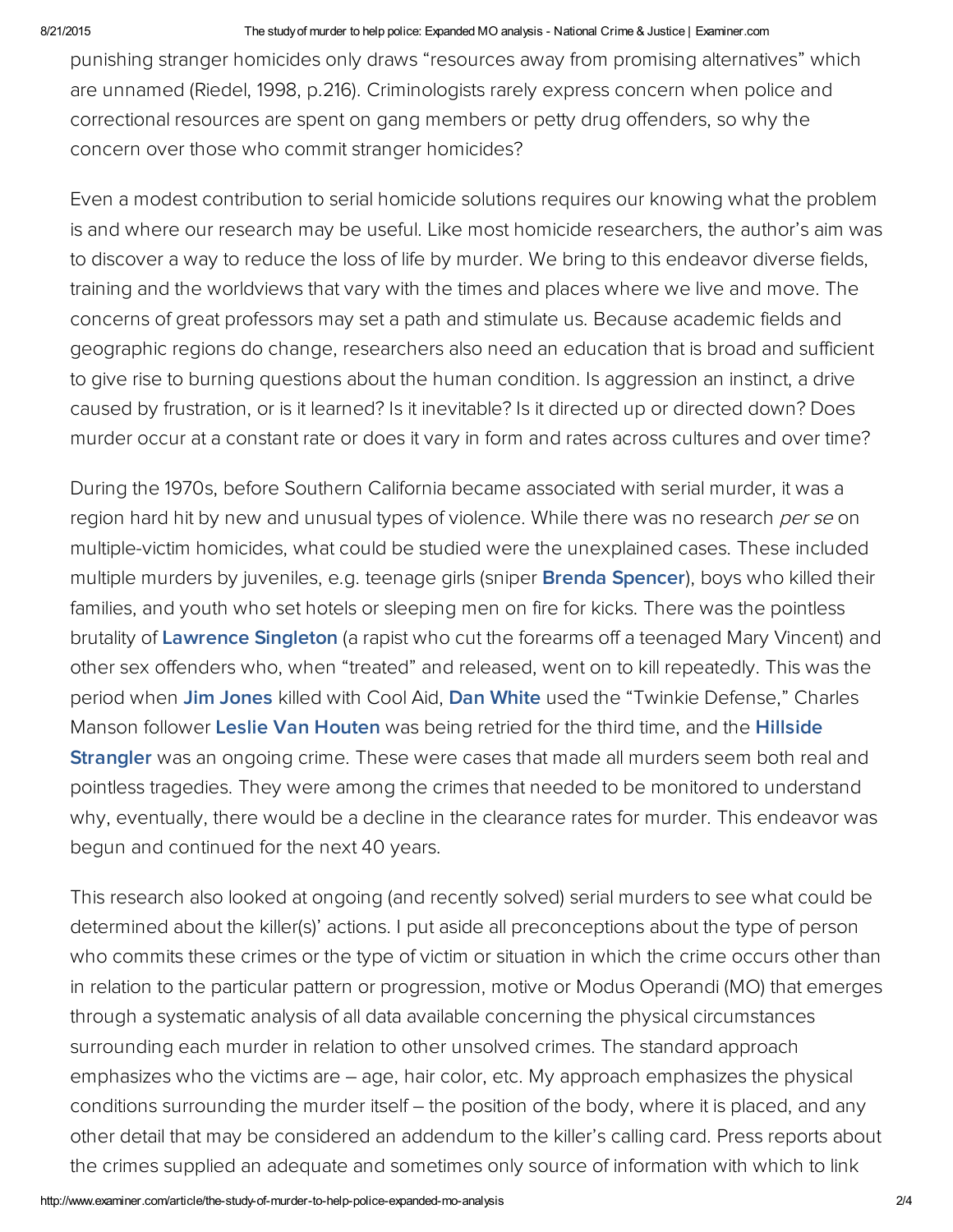#### 8/21/2015 The studyof murder to help police: Expanded MO analysis National Crime & Justice | Examiner.com

punishing stranger homicides only draws "resources away from promising alternatives" which are unnamed (Riedel, 1998, p.216). Criminologists rarely express concern when police and correctional resources are spent on gang members or petty drug offenders, so why the concern over those who commit stranger homicides?

Even a modest contribution to serial homicide solutions requires our knowing what the problem is and where our research may be useful. Like most homicide researchers, the author's aim was to discover a way to reduce the loss of life by murder. We bring to this endeavor diverse fields, training and the worldviews that vary with the times and places where we live and move. The concerns of great professors may set a path and stimulate us. Because academic fields and geographic regions do change, researchers also need an education that is broad and sufficient to give rise to burning questions about the human condition. Is aggression an instinct, a drive caused by frustration, or is it learned? Is it inevitable? Is it directed up or directed down? Does murder occur at a constant rate or does it vary in form and rates across cultures and over time?

During the 1970s, before Southern California became associated with serial murder, it was a region hard hit by new and unusual types of violence. While there was no research per se on multiple‑victim homicides, what could be studied were the unexplained cases. These included multiple murders by juveniles, e.g. teenage girls (sniper **Brenda Spencer**), boys who killed their families, and youth who set hotels or sleeping men on fire for kicks. There was the pointless brutality of [Lawrence](http://bit.ly/XnDHA9) Singleton (a rapist who cut the forearms off a teenaged Mary Vincent) and other sex offenders who, when "treated" and released, went on to kill repeatedly. This was the period when Jim [Jones](http://bit.ly/SWXAhE) killed with Cool Aid, Dan [White](http://nyti.ms/TZvDXP) used the "Twinkie Defense," Charles Manson follower Leslie Van [Houten](http://bit.ly/UYkur3) was being retried for the third time, and the [Hillside](https://en.wikipedia.org/wiki/Kenneth_Bianchi) **Strangler** was an ongoing crime. These were cases that made all murders seem both real and pointless tragedies. They were among the crimes that needed to be monitored to understand why, eventually, there would be a decline in the clearance rates for murder. This endeavor was begun and continued for the next 40 years.

This research also looked at ongoing (and recently solved) serial murders to see what could be determined about the killer(s)' actions. I put aside all preconceptions about the type of person who commits these crimes or the type of victim or situation in which the crime occurs other than in relation to the particular pattern or progression, motive or Modus Operandi (MO) that emerges through a systematic analysis of all data available concerning the physical circumstances surrounding each murder in relation to other unsolved crimes. The standard approach emphasizes who the victims are – age, hair color, etc. My approach emphasizes the physical conditions surrounding the murder itself – the position of the body, where it is placed, and any other detail that may be considered an addendum to the killer's calling card. Press reports about the crimes supplied an adequate and sometimes only source of information with which to link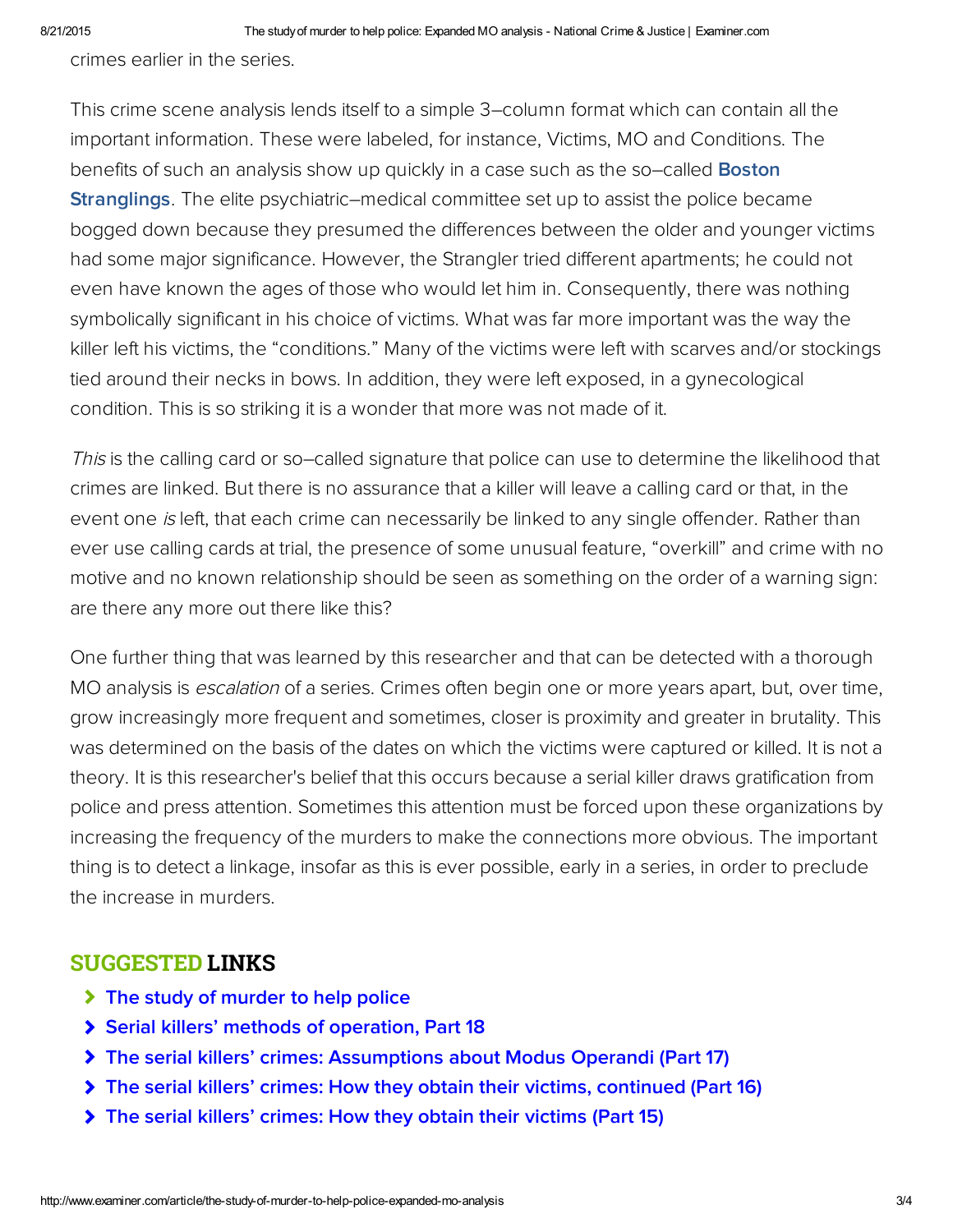crimes earlier in the series.

This crime scene analysis lends itself to a simple 3–column format which can contain all the important information. These were labeled, for instance, Victims, MO and Conditions. The benefits of such an analysis show up quickly in a case such as the so-called **Boston Stranglings.** The elite psychiatric–medical committee set up to assist the police became bogged down because they presumed the differences between the older and younger victims had some major significance. However, the Strangler tried different apartments; he could not even have known the ages of those who would let him in. Consequently, there was nothing symbolically significant in his choice of victims. What was far more important was the way the killer left his victims, the "conditions." Many of the victims were left with scarves and/or stockings tied around their necks in bows. In addition, they were left exposed, in a gynecological condition. This is so striking it is a wonder that more was not made of it.

This is the calling card or so–called signature that police can use to determine the likelihood that crimes are linked. But there is no assurance that a killer will leave a calling card or that, in the event one is left, that each crime can necessarily be linked to any single offender. Rather than ever use calling cards at trial, the presence of some unusual feature, "overkill" and crime with no motive and no known relationship should be seen as something on the order of a warning sign: are there any more out there like this?

One further thing that was learned by this researcher and that can be detected with a thorough MO analysis is *escalation* of a series. Crimes often begin one or more years apart, but, over time, grow increasingly more frequent and sometimes, closer is proximity and greater in brutality. This was determined on the basis of the dates on which the victims were captured or killed. It is not a theory. It is this researcher's belief that this occurs because a serial killer draws gratification from police and press attention. Sometimes this attention must be forced upon these organizations by increasing the frequency of the murders to make the connections more obvious. The important thing is to detect a linkage, insofar as this is ever possible, early in a series, in order to preclude the increase in murders.

## SUGGESTED LINKS

- > [The study of murder to help police](http://www.ritterhomicideresearch.com/articles/The-study-of-murder-to-help-police.pdf)
- [Serial killers' methods of operation, Part 18](http://www.ritterhomicideresearch.com/articles/Part-18.pdf)
- [The serial killers' crimes: Assumptions about Modus Operandi \(Part 17\)](http://www.ritterhomicideresearch.com/articles/Part-17.pdf)
- [The serial killers' crimes: How they obtain their victims, continued \(Part 16\)](http://www.ritterhomicideresearch.com/articles/Part-16.pdf)
- [The serial killers' crimes: How they obtain their victims \(Part 15\)](http://www.ritterhomicideresearch.com/articles/Part-15.pdf)